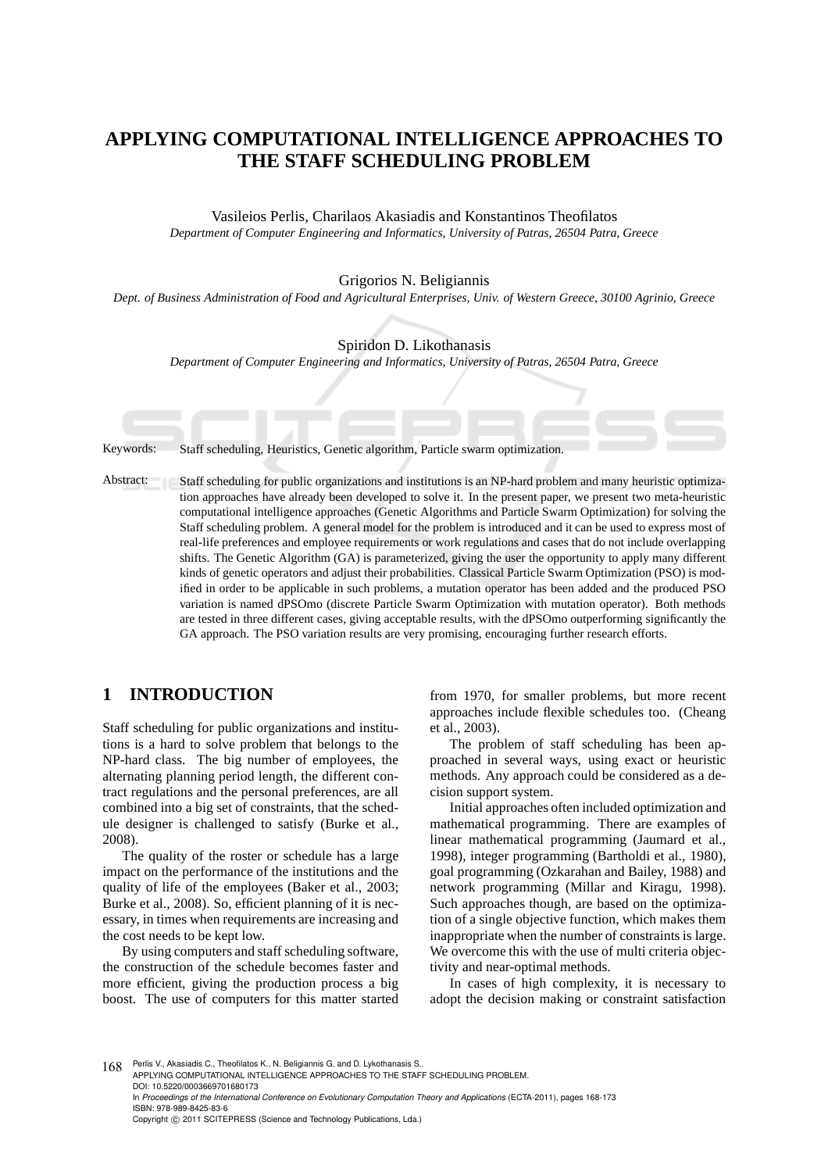# **APPLYING COMPUTATIONAL INTELLIGENCE APPROACHES TO THE STAFF SCHEDULING PROBLEM**

Vasileios Perlis, Charilaos Akasiadis and Konstantinos Theofilatos *Department of Computer Engineering and Informatics, University of Patras, 26504 Patra, Greece*

#### Grigorios N. Beligiannis

*Dept. of Business Administration of Food and Agricultural Enterprises, Univ. of Western Greece, 30100 Agrinio, Greece*

Spiridon D. Likothanasis

*Department of Computer Engineering and Informatics, University of Patras, 26504 Patra, Greece*

Keywords: Staff scheduling, Heuristics, Genetic algorithm, Particle swarm optimization.

Abstract: Staff scheduling for public organizations and institutions is an NP-hard problem and many heuristic optimization approaches have already been developed to solve it. In the present paper, we present two meta-heuristic computational intelligence approaches (Genetic Algorithms and Particle Swarm Optimization) for solving the Staff scheduling problem. A general model for the problem is introduced and it can be used to express most of real-life preferences and employee requirements or work regulations and cases that do not include overlapping shifts. The Genetic Algorithm (GA) is parameterized, giving the user the opportunity to apply many different kinds of genetic operators and adjust their probabilities. Classical Particle Swarm Optimization (PSO) is modified in order to be applicable in such problems, a mutation operator has been added and the produced PSO variation is named dPSOmo (discrete Particle Swarm Optimization with mutation operator). Both methods are tested in three different cases, giving acceptable results, with the dPSOmo outperforming significantly the GA approach. The PSO variation results are very promising, encouraging further research efforts.

# **1 INTRODUCTION**

Staff scheduling for public organizations and institutions is a hard to solve problem that belongs to the NP-hard class. The big number of employees, the alternating planning period length, the different contract regulations and the personal preferences, are all combined into a big set of constraints, that the schedule designer is challenged to satisfy (Burke et al., 2008).

The quality of the roster or schedule has a large impact on the performance of the institutions and the quality of life of the employees (Baker et al., 2003; Burke et al., 2008). So, efficient planning of it is necessary, in times when requirements are increasing and the cost needs to be kept low.

By using computers and staff scheduling software, the construction of the schedule becomes faster and more efficient, giving the production process a big boost. The use of computers for this matter started from 1970, for smaller problems, but more recent approaches include flexible schedules too. (Cheang et al., 2003).

The problem of staff scheduling has been approached in several ways, using exact or heuristic methods. Any approach could be considered as a decision support system.

Initial approaches often included optimization and mathematical programming. There are examples of linear mathematical programming (Jaumard et al., 1998), integer programming (Bartholdi et al., 1980), goal programming (Ozkarahan and Bailey, 1988) and network programming (Millar and Kiragu, 1998). Such approaches though, are based on the optimization of a single objective function, which makes them inappropriate when the number of constraints is large. We overcome this with the use of multi criteria objectivity and near-optimal methods.

In cases of high complexity, it is necessary to adopt the decision making or constraint satisfaction

168 Perlis V., Akasiadis C., Theofilatos K., N. Beligiannis G. and D. Lykothanasis S. APPLYING COMPUTATIONAL INTELLIGENCE APPROACHES TO THE STAFF SCHEDULING PROBLEM. DOI: 10.5220/0003669701680173 In *Proceedings of the International Conference on Evolutionary Computation Theory and Applications* (ECTA-2011), pages 168-173 ISBN: 978-989-8425-83-6 Copyright (C) 2011 SCITEPRESS (Science and Technology Publications, Lda.)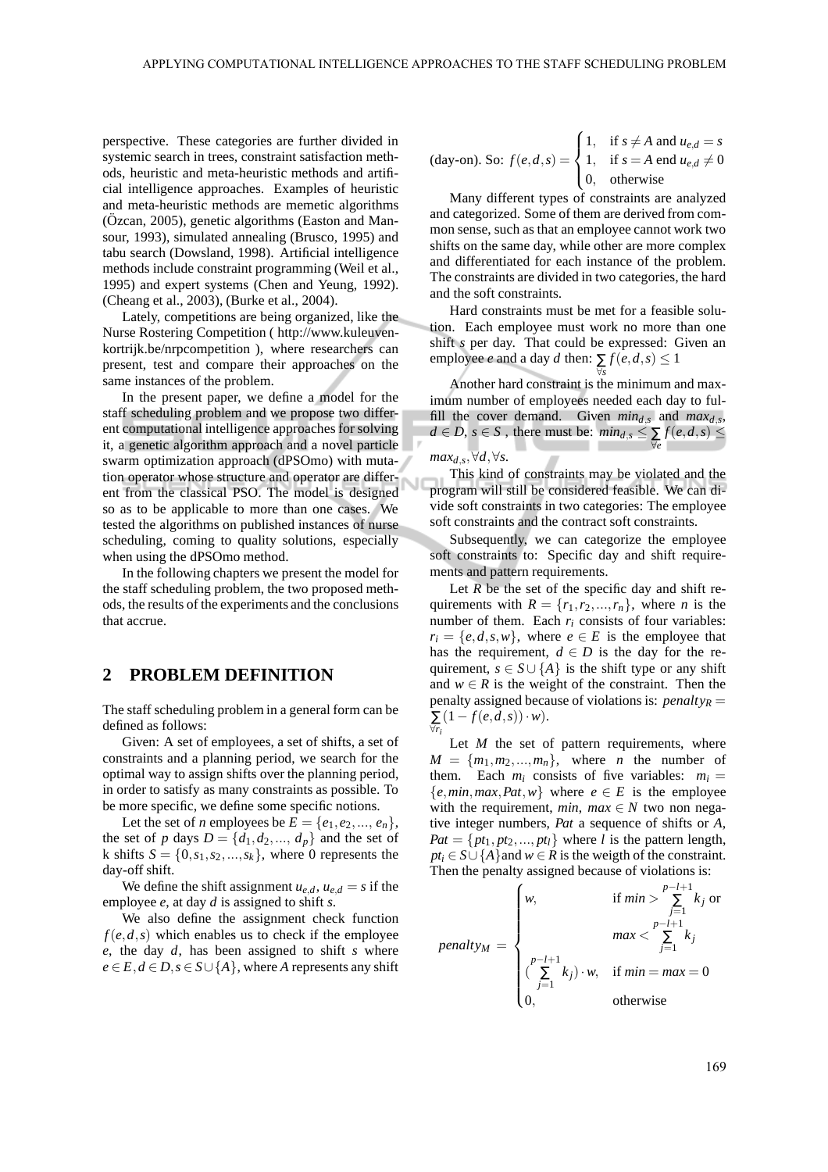perspective. These categories are further divided in systemic search in trees, constraint satisfaction methods, heuristic and meta-heuristic methods and artificial intelligence approaches. Examples of heuristic and meta-heuristic methods are memetic algorithms  $(Ozcan, 2005)$ , genetic algorithms (Easton and Mansour, 1993), simulated annealing (Brusco, 1995) and tabu search (Dowsland, 1998). Artificial intelligence methods include constraint programming (Weil et al., 1995) and expert systems (Chen and Yeung, 1992). (Cheang et al., 2003), (Burke et al., 2004).

Lately, competitions are being organized, like the Nurse Rostering Competition ( http://www.kuleuvenkortrijk.be/nrpcompetition ), where researchers can present, test and compare their approaches on the same instances of the problem.

In the present paper, we define a model for the staff scheduling problem and we propose two different computational intelligence approaches for solving it, a genetic algorithm approach and a novel particle swarm optimization approach (dPSOmo) with mutation operator whose structure and operator are different from the classical PSO. The model is designed so as to be applicable to more than one cases. We tested the algorithms on published instances of nurse scheduling, coming to quality solutions, especially when using the dPSOmo method.

In the following chapters we present the model for the staff scheduling problem, the two proposed methods, the results of the experiments and the conclusions that accrue.

### **2 PROBLEM DEFINITION**

The staff scheduling problem in a general form can be defined as follows:

Given: A set of employees, a set of shifts, a set of constraints and a planning period, we search for the optimal way to assign shifts over the planning period, in order to satisfy as many constraints as possible. To be more specific, we define some specific notions.

Let the set of *n* employees be  $E = \{e_1, e_2, ..., e_n\},\$ the set of *p* days  $D = \{d_1, d_2, ..., d_p\}$  and the set of k shifts  $S = \{0, s_1, s_2, \ldots, s_k\}$ , where 0 represents the day-off shift.

We define the shift assignment  $u_{e,d}$ ,  $u_{e,d} = s$  if the employee *e*, at day *d* is assigned to shift *s*.

We also define the assignment check function  $f(e, d, s)$  which enables us to check if the employee *e*, the day *d*, has been assigned to shift *s* where  $e \in E, d \in D, s \in S \cup \{A\}$ , where *A* represents any shift

(day-on). So: 
$$
f(e,d,s) = \begin{cases} 1, & \text{if } s \neq A \text{ and } u_{e,d} = s \\ 1, & \text{if } s = A \text{ end } u_{e,d} \neq 0 \\ 0, & \text{otherwise} \end{cases}
$$

Many different types of constraints are analyzed and categorized. Some of them are derived from common sense, such as that an employee cannot work two shifts on the same day, while other are more complex and differentiated for each instance of the problem. The constraints are divided in two categories, the hard and the soft constraints.

Hard constraints must be met for a feasible solution. Each employee must work no more than one shift *s* per day. That could be expressed: Given an employee *e* and a day *d* then:  $\sum f(e, d, s) \leq 1$ ∀*s*

Another hard constraint is the minimum and maximum number of employees needed each day to fulfill the cover demand. Given  $min_{d,s}$  and  $max_{d,s}$ , *d* ∈ *D*, *s* ∈ *S* , there must be:  $min_{d,s}$  ≤  $\sum_{\forall e}$  *f*(*e*,*d*,*s*) ≤

#### *max*<sub>*d,s*</sub>,∀*d*,∀*s*.

This kind of constraints may be violated and the program will still be considered feasible. We can divide soft constraints in two categories: The employee soft constraints and the contract soft constraints.

Subsequently, we can categorize the employee soft constraints to: Specific day and shift requirements and pattern requirements.

Let  $R$  be the set of the specific day and shift requirements with  $R = \{r_1, r_2, ..., r_n\}$ , where *n* is the number of them. Each  $r_i$  consists of four variables:  $r_i = \{e, d, s, w\}$ , where  $e \in E$  is the employee that has the requirement,  $d \in D$  is the day for the requirement,  $s \in S \cup \{A\}$  is the shift type or any shift and  $w \in R$  is the weight of the constraint. Then the penalty assigned because of violations is: *penalty<sup>R</sup>* = ∑ ∀*ri*  $(1-f(e,d,s))\cdot w$ ).

Let *M* the set of pattern requirements, where  $M = \{m_1, m_2, \ldots, m_n\}$ , where *n* the number of them. Each  $m_i$  consists of five variables:  $m_i =$  ${e, min, max, Pat, w}$  where  $e \in E$  is the employee with the requirement, *min*,  $max \in N$  two non negative integer numbers, *Pat* a sequence of shifts or *A*,  $Pat = \{pt_1, pt_2, ..., pt_l\}$  where *l* is the pattern length,  $pt_i \in S \cup \{A\}$ and  $w \in R$  is the weigth of the constraint. Then the penalty assigned because of violations is:

$$
penalty_M = \begin{cases} w, & \text{if } min > \sum_{j=1}^{p-l+1} k_j \text{ or } \\ & \text{max} < \sum_{j=1}^{p-l+1} k_j \\ \binom{p-l+1}{\sum_{j=1}^{p-l+1} k_j} \cdot w, & \text{if } min = max = 0 \\ 0, & \text{otherwise} \end{cases}
$$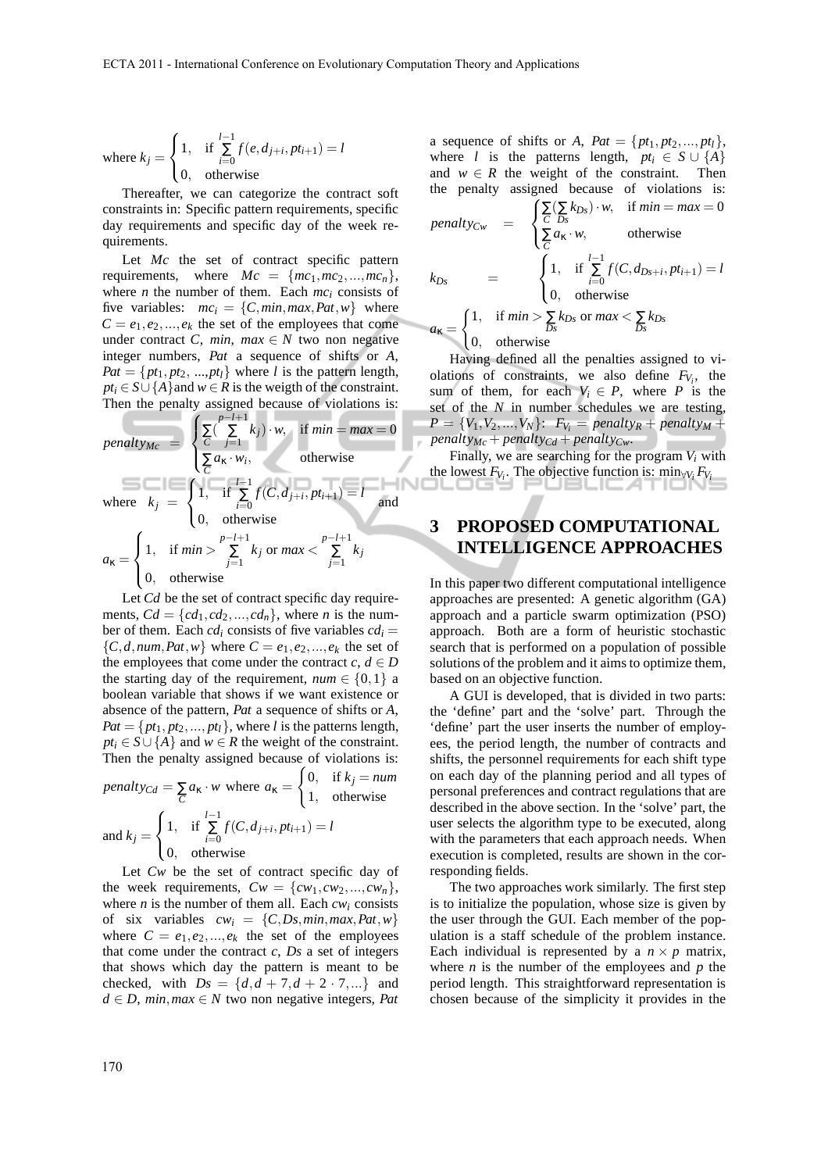where 
$$
k_j = \begin{cases} 1, & \text{if } \sum_{i=0}^{l-1} f(e, d_{j+i}, pt_{i+1}) = l \\ 0, & \text{otherwise} \end{cases}
$$

Thereafter, we can categorize the contract soft constraints in: Specific pattern requirements, specific day requirements and specific day of the week requirements.

Let *Mc* the set of contract specific pattern requirements, where  $Mc = \{mc_1, mc_2, ..., mc_n\},\$ where *n* the number of them. Each  $mc<sub>i</sub>$  consists of five variables:  $mc_i = \{C, min, max, Pat, w\}$  where  $C = e_1, e_2, \ldots, e_k$  the set of the employees that come under contract *C*, *min*,  $max \in N$  two non negative integer numbers, *Pat* a sequence of shifts or *A*,  $Pat = \{pt_1, pt_2, ..., pt_l\}$  where *l* is the pattern length,  $pt_i \in S \cup \{A\}$  and  $w \in R$  is the weigth of the constraint. Then the penalty assigned because of violations is:

penalty<sub>Mc</sub> =

\n
$$
\begin{cases}\n\sum_{C} \left( \sum_{j=1}^{p-l+1} k_j \right) \cdot w, & \text{if } \min = \max = 0 \\
\sum a_K \cdot w_i, & \text{otherwise}\n\end{cases}
$$
\nwhere

\n
$$
k_j = \begin{cases}\n1, & \text{if } \sum_{i=0}^{l-1} f(C, d_{j+i}, pt_{i+1}) = l \\
0, & \text{otherwise}\n\end{cases}
$$
\nand

\n
$$
a_K = \begin{cases}\n1, & \text{if } \min > \sum_{j=1}^{p-l+1} k_j \text{ or } \max < \sum_{j=1}^{p-l+1} k_j \\
0, & \text{otherwise}\n\end{cases}
$$

Let *Cd* be the set of contract specific day requirements,  $Cd = \{cd_1, cd_2, ..., cd_n\}$ , where *n* is the number of them. Each  $cd_i$  consists of five variables  $cd_i$  =  ${C, d, num, Pat, w}$  where  $C = e_1, e_2, \ldots, e_k$  the set of the employees that come under the contract  $c, d \in D$ the starting day of the requirement,  $num \in \{0, 1\}$  a boolean variable that shows if we want existence or absence of the pattern, *Pat* a sequence of shifts or *A*,  $Pat = \{pt_1, pt_2, ..., pt_l\}$ , where *l* is the patterns length,  $pt_i \in S \cup \{A\}$  and  $w \in R$  the weight of the constraint. Then the penalty assigned because of violations is:  $\epsilon$ 

penalty<sub>Cd</sub> = 
$$
\sum_{C} a_{\kappa} \cdot w \text{ where } a_{\kappa} = \begin{cases} 0, & \text{if } k_j = num \\ 1, & \text{otherwise} \end{cases}
$$

\nand 
$$
k_j = \begin{cases} 1, & \text{if } \sum_{i=0}^{l-1} f(C, d_{j+i}, pt_{i+1}) = l \\ 0, & \text{otherwise} \end{cases}
$$

Let *Cw* be the set of contract specific day of the week requirements,  $Cw = \{cw_1, cw_2, ..., cw_n\},\$ where  $n$  is the number of them all. Each  $cw_i$  consists of six variables  $cw_i = \{C, Ds, min, max, Pat, w\}$ where  $C = e_1, e_2, \dots, e_k$  the set of the employees that come under the contract *c*, *Ds* a set of integers that shows which day the pattern is meant to be checked, with  $Ds = \{d, d + 7, d + 2 \cdot 7, ...\}$  and  $d \in D$ , *min*, *max*  $\in N$  two non negative integers, *Pat*  a sequence of shifts or *A*,  $Pat = \{pt_1, pt_2, ..., pt_l\}$ , where *l* is the patterns length,  $pt_i \in S \cup \{A\}$ and  $w \in R$  the weight of the constraint. Then the penalty assigned because of violations is:

\n
$$
\text{penalty}_{Cw} =\n \begin{cases}\n \sum_{C} (\sum_{Ds} k_{Ds}) \cdot w, & \text{if } \min = \max = 0 \\
 \sum_{C} a_{\kappa} \cdot w, & \text{otherwise}\n \end{cases}
$$
\n

\n\n $k_{Ds} =\n \begin{cases}\n 1, & \text{if } \sum_{i=0}^{l-1} f(C, d_{Ds+i}, pt_{i+1}) = l \\
 0, & \text{otherwise}\n \end{cases}$ \n

\n\n $a_{\kappa} =\n \begin{cases}\n 1, & \text{if } \min > \sum_{Ds} k_{Ds} \text{ or } \max < \sum_{Ds} k_{Ds} \\
 0, & \text{otherwise}\n \end{cases}$ \n

Having defined all the penalties assigned to violations of constraints, we also define  $F_{V_i}$ , the sum of them, for each  $V_i \in P$ , where *P* is the set of the *N* in number schedules we are testing,  $P = \{V_1, V_2, ..., V_N\}$ :  $F_{V_i} = penalty_R + penalty_M +$ *penalty<sub>Mc</sub>* + *penalty<sub>Cd</sub>* + *penalty<sub>Cw</sub>*.

Finally, we are searching for the program  $V_i$  with the lowest  $F_{V_i}$ . The objective function is:  $\min_{\forall V_i} F_{V_i}$ 

## **3 PROPOSED COMPUTATIONAL INTELLIGENCE APPROACHES**

In this paper two different computational intelligence approaches are presented: A genetic algorithm (GA) approach and a particle swarm optimization (PSO) approach. Both are a form of heuristic stochastic search that is performed on a population of possible solutions of the problem and it aims to optimize them, based on an objective function.

A GUI is developed, that is divided in two parts: the 'define' part and the 'solve' part. Through the 'define' part the user inserts the number of employees, the period length, the number of contracts and shifts, the personnel requirements for each shift type on each day of the planning period and all types of personal preferences and contract regulations that are described in the above section. In the 'solve' part, the user selects the algorithm type to be executed, along with the parameters that each approach needs. When execution is completed, results are shown in the corresponding fields.

The two approaches work similarly. The first step is to initialize the population, whose size is given by the user through the GUI. Each member of the population is a staff schedule of the problem instance. Each individual is represented by a  $n \times p$  matrix, where  $n$  is the number of the employees and  $p$  the period length. This straightforward representation is chosen because of the simplicity it provides in the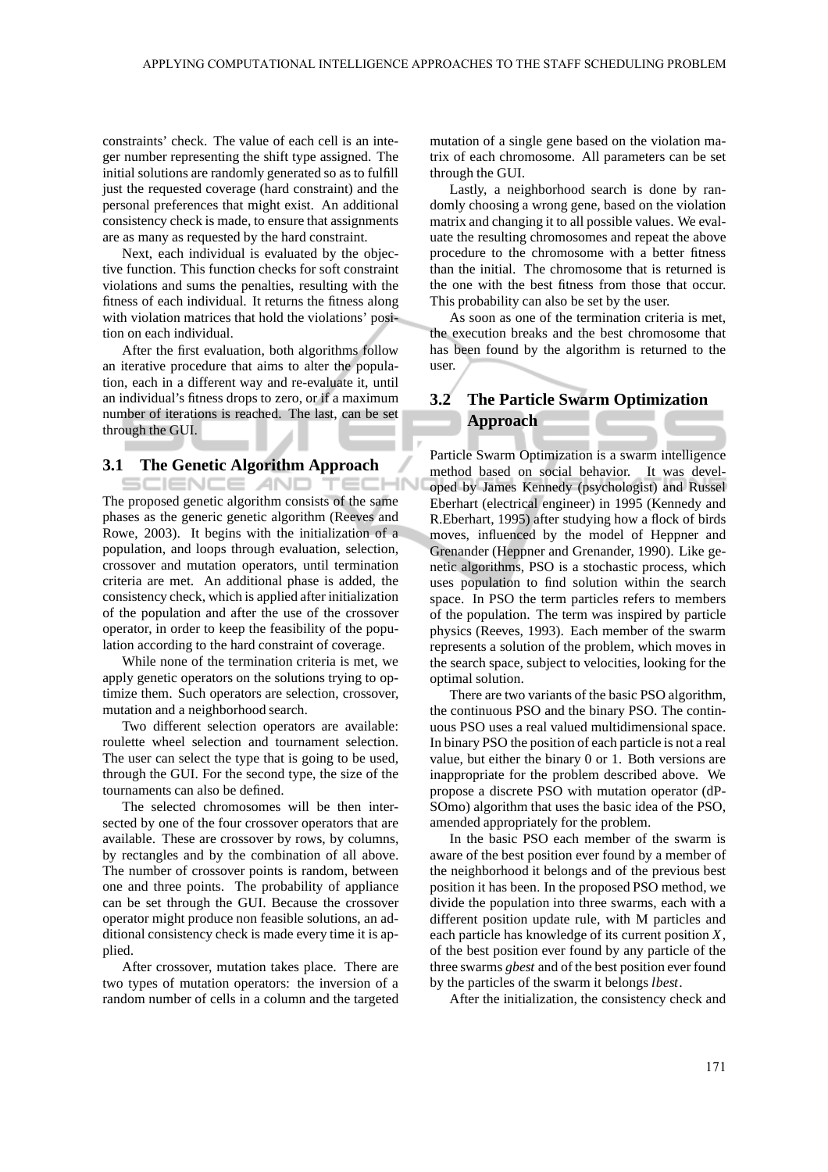constraints' check. The value of each cell is an integer number representing the shift type assigned. The initial solutions are randomly generated so as to fulfill just the requested coverage (hard constraint) and the personal preferences that might exist. An additional consistency check is made, to ensure that assignments are as many as requested by the hard constraint.

Next, each individual is evaluated by the objective function. This function checks for soft constraint violations and sums the penalties, resulting with the fitness of each individual. It returns the fitness along with violation matrices that hold the violations' position on each individual.

After the first evaluation, both algorithms follow an iterative procedure that aims to alter the population, each in a different way and re-evaluate it, until an individual's fitness drops to zero, or if a maximum number of iterations is reached. The last, can be set through the GUI.

#### **3.1 The Genetic Algorithm Approach**

SCIENCE *A*ND TEC The proposed genetic algorithm consists of the same phases as the generic genetic algorithm (Reeves and Rowe, 2003). It begins with the initialization of a population, and loops through evaluation, selection, crossover and mutation operators, until termination criteria are met. An additional phase is added, the consistency check, which is applied after initialization of the population and after the use of the crossover operator, in order to keep the feasibility of the population according to the hard constraint of coverage.

While none of the termination criteria is met, we apply genetic operators on the solutions trying to optimize them. Such operators are selection, crossover, mutation and a neighborhood search.

Two different selection operators are available: roulette wheel selection and tournament selection. The user can select the type that is going to be used, through the GUI. For the second type, the size of the tournaments can also be defined.

The selected chromosomes will be then intersected by one of the four crossover operators that are available. These are crossover by rows, by columns, by rectangles and by the combination of all above. The number of crossover points is random, between one and three points. The probability of appliance can be set through the GUI. Because the crossover operator might produce non feasible solutions, an additional consistency check is made every time it is applied.

After crossover, mutation takes place. There are two types of mutation operators: the inversion of a random number of cells in a column and the targeted mutation of a single gene based on the violation matrix of each chromosome. All parameters can be set through the GUI.

Lastly, a neighborhood search is done by randomly choosing a wrong gene, based on the violation matrix and changing it to all possible values. We evaluate the resulting chromosomes and repeat the above procedure to the chromosome with a better fitness than the initial. The chromosome that is returned is the one with the best fitness from those that occur. This probability can also be set by the user.

As soon as one of the termination criteria is met, the execution breaks and the best chromosome that has been found by the algorithm is returned to the user.

## **3.2 The Particle Swarm Optimization Approach**

Particle Swarm Optimization is a swarm intelligence method based on social behavior. It was developed by James Kennedy (psychologist) and Russel Eberhart (electrical engineer) in 1995 (Kennedy and R.Eberhart, 1995) after studying how a flock of birds moves, influenced by the model of Heppner and Grenander (Heppner and Grenander, 1990). Like genetic algorithms, PSO is a stochastic process, which uses population to find solution within the search space. In PSO the term particles refers to members of the population. The term was inspired by particle physics (Reeves, 1993). Each member of the swarm represents a solution of the problem, which moves in the search space, subject to velocities, looking for the optimal solution.

There are two variants of the basic PSO algorithm, the continuous PSO and the binary PSO. The continuous PSO uses a real valued multidimensional space. In binary PSO the position of each particle is not a real value, but either the binary 0 or 1. Both versions are inappropriate for the problem described above. We propose a discrete PSO with mutation operator (dP-SOmo) algorithm that uses the basic idea of the PSO, amended appropriately for the problem.

In the basic PSO each member of the swarm is aware of the best position ever found by a member of the neighborhood it belongs and of the previous best position it has been. In the proposed PSO method, we divide the population into three swarms, each with a different position update rule, with M particles and each particle has knowledge of its current position *X*, of the best position ever found by any particle of the three swarms *gbest* and of the best position ever found by the particles of the swarm it belongs *lbest*.

After the initialization, the consistency check and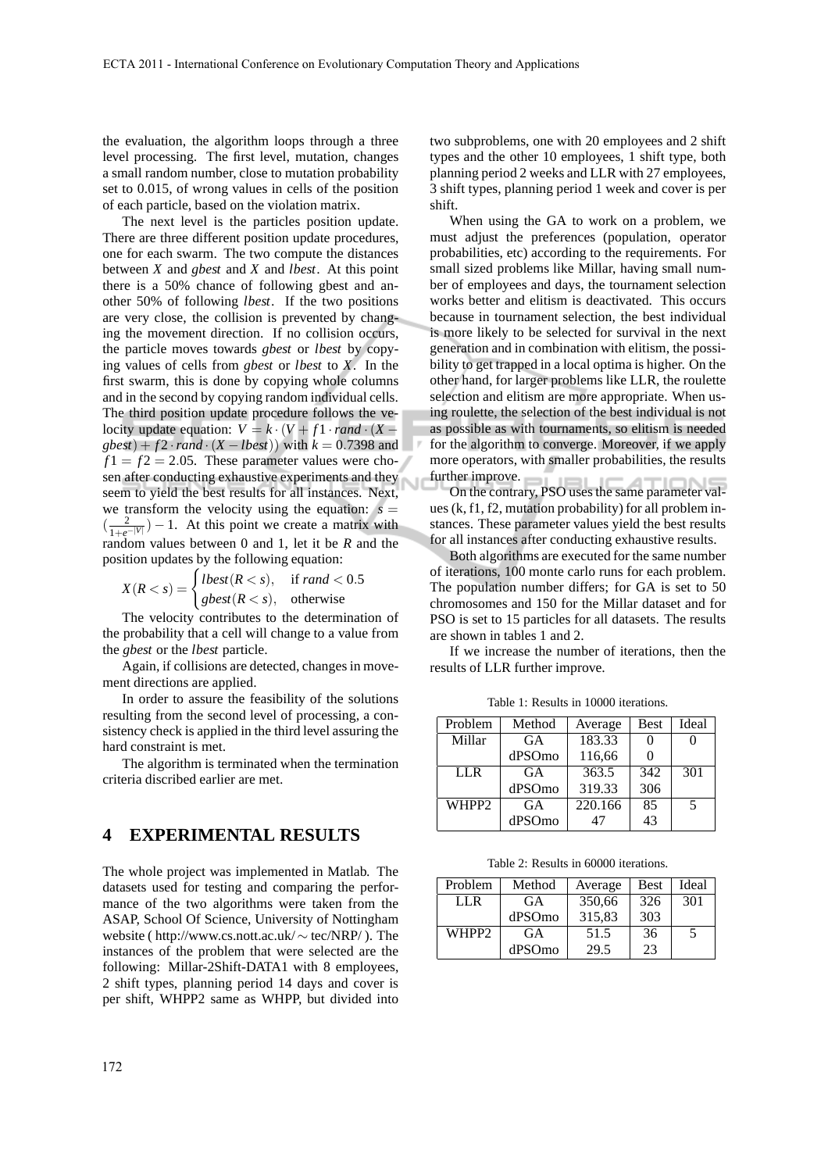the evaluation, the algorithm loops through a three level processing. The first level, mutation, changes a small random number, close to mutation probability set to 0.015, of wrong values in cells of the position of each particle, based on the violation matrix.

The next level is the particles position update. There are three different position update procedures, one for each swarm. The two compute the distances between *X* and *gbest* and *X* and *lbest*. At this point there is a 50% chance of following gbest and another 50% of following *lbest*. If the two positions are very close, the collision is prevented by changing the movement direction. If no collision occurs, the particle moves towards *gbest* or *lbest* by copying values of cells from *gbest* or *lbest* to *X*. In the first swarm, this is done by copying whole columns and in the second by copying random individual cells. The third position update procedure follows the velocity update equation:  $V = k \cdot (V + f1 \cdot rand \cdot (X$  $gbest$  +  $f2$  ·  $rand$  ·  $(X - lbest)$  with  $k = 0.7398$  and  $f1 = f2 = 2.05$ . These parameter values were chosen after conducting exhaustive experiments and they seem to yield the best results for all instances. Next, we transform the velocity using the equation:  $s =$  $\left(\frac{2}{1+e^{-|V|}}\right) - 1$ . At this point we create a matrix with random values between 0 and 1, let it be *R* and the position updates by the following equation:

$$
X(R < s) = \begin{cases} \text{lbest}(R < s), & \text{if } \text{rand} < 0.5\\ \text{gbest}(R < s), & \text{otherwise} \end{cases}
$$

The velocity contributes to the determination of the probability that a cell will change to a value from the *gbest* or the *lbest* particle.

Again, if collisions are detected, changes in movement directions are applied.

In order to assure the feasibility of the solutions resulting from the second level of processing, a consistency check is applied in the third level assuring the hard constraint is met.

The algorithm is terminated when the termination criteria discribed earlier are met.

#### **4 EXPERIMENTAL RESULTS**

The whole project was implemented in Matlab. The datasets used for testing and comparing the performance of the two algorithms were taken from the ASAP, School Of Science, University of Nottingham website ( http://www.cs.nott.ac.uk/ ∼ tec/NRP/ ). The instances of the problem that were selected are the following: Millar-2Shift-DATA1 with 8 employees, 2 shift types, planning period 14 days and cover is per shift, WHPP2 same as WHPP, but divided into two subproblems, one with 20 employees and 2 shift types and the other 10 employees, 1 shift type, both planning period 2 weeks and LLR with 27 employees, 3 shift types, planning period 1 week and cover is per shift.

When using the GA to work on a problem, we must adjust the preferences (population, operator probabilities, etc) according to the requirements. For small sized problems like Millar, having small number of employees and days, the tournament selection works better and elitism is deactivated. This occurs because in tournament selection, the best individual is more likely to be selected for survival in the next generation and in combination with elitism, the possibility to get trapped in a local optima is higher. On the other hand, for larger problems like LLR, the roulette selection and elitism are more appropriate. When using roulette, the selection of the best individual is not as possible as with tournaments, so elitism is needed for the algorithm to converge. Moreover, if we apply more operators, with smaller probabilities, the results further improve.

On the contrary, PSO uses the same parameter values (k, f1, f2, mutation probability) for all problem instances. These parameter values yield the best results for all instances after conducting exhaustive results.

Both algorithms are executed for the same number of iterations, 100 monte carlo runs for each problem. The population number differs; for GA is set to 50 chromosomes and 150 for the Millar dataset and for PSO is set to 15 particles for all datasets. The results are shown in tables 1 and 2.

If we increase the number of iterations, then the results of LLR further improve.

Table 1: Results in 10000 iterations.

| Problem           | Method    | Average            | <b>Best</b> | Ideal |
|-------------------|-----------|--------------------|-------------|-------|
| Millar            | GA        | 183.33             |             |       |
|                   | dPSOmo    | 116,66             |             |       |
| LLR.              | GA        | $\overline{363.5}$ | 342         | 301   |
|                   | dPSOmo    | 319.33             | 306         |       |
| WHPP <sub>2</sub> | <b>GA</b> | 220.166            | 85          | .5    |
|                   | dPSOmo    | 47                 | 43          |       |

Table 2: Results in 60000 iterations.

| Problem           | Method | Average | Best | Ideal |
|-------------------|--------|---------|------|-------|
| LL R              | GA     | 350,66  | 326  | 301   |
|                   | dPSOmo | 315,83  | 303  |       |
| WHPP <sub>2</sub> | GA     | 51.5    | 36   | 5     |
|                   | dPSOmo | 29.5    | 23   |       |